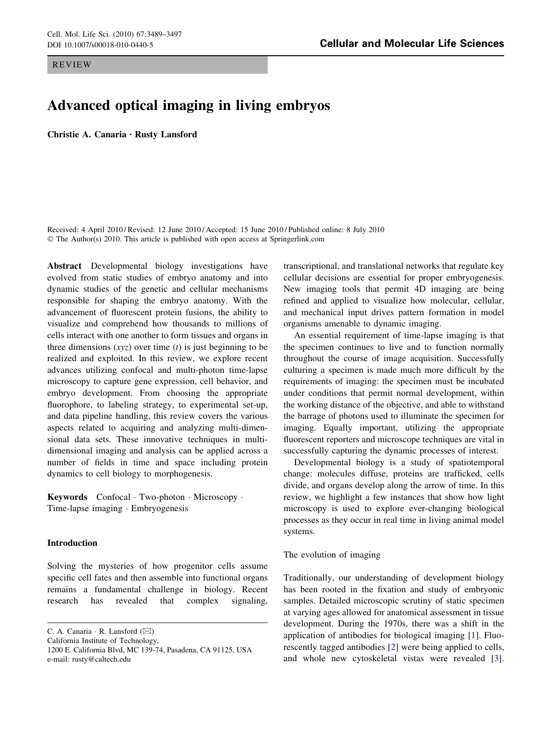REVIEW

# DOI 10.1007/s00018-010-0440-5 Cellular and Molecular Life Sciences

# Advanced optical imaging in living embryos

Christie A. Canaria • Rusty Lansford

Received: 4 April 2010 / Revised: 12 June 2010 / Accepted: 15 June 2010 / Published online: 8 July 2010 © The Author(s) 2010. This article is published with open access at Springerlink.com

Abstract Developmental biology investigations have evolved from static studies of embryo anatomy and into dynamic studies of the genetic and cellular mechanisms responsible for shaping the embryo anatomy. With the advancement of fluorescent protein fusions, the ability to visualize and comprehend how thousands to millions of cells interact with one another to form tissues and organs in three dimensions  $(xyz)$  over time (t) is just beginning to be realized and exploited. In this review, we explore recent advances utilizing confocal and multi-photon time-lapse microscopy to capture gene expression, cell behavior, and embryo development. From choosing the appropriate fluorophore, to labeling strategy, to experimental set-up, and data pipeline handling, this review covers the various aspects related to acquiring and analyzing multi-dimensional data sets. These innovative techniques in multidimensional imaging and analysis can be applied across a number of fields in time and space including protein dynamics to cell biology to morphogenesis.

Keywords Confocal - Two-photon - Microscopy - Time-lapse imaging - Embryogenesis

## Introduction

Solving the mysteries of how progenitor cells assume specific cell fates and then assemble into functional organs remains a fundamental challenge in biology. Recent research has revealed that complex signaling,

C. A. Canaria  $\cdot$  R. Lansford ( $\boxtimes$ ) California Institute of Technology, 1200 E. California Blvd, MC 139-74, Pasadena, CA 91125, USA e-mail: rusty@caltech.edu

transcriptional, and translational networks that regulate key cellular decisions are essential for proper embryogenesis. New imaging tools that permit 4D imaging are being refined and applied to visualize how molecular, cellular, and mechanical input drives pattern formation in model organisms amenable to dynamic imaging.

An essential requirement of time-lapse imaging is that the specimen continues to live and to function normally throughout the course of image acquisition. Successfully culturing a specimen is made much more difficult by the requirements of imaging: the specimen must be incubated under conditions that permit normal development, within the working distance of the objective, and able to withstand the barrage of photons used to illuminate the specimen for imaging. Equally important, utilizing the appropriate fluorescent reporters and microscope techniques are vital in successfully capturing the dynamic processes of interest.

Developmental biology is a study of spatiotemporal change: molecules diffuse, proteins are trafficked, cells divide, and organs develop along the arrow of time. In this review, we highlight a few instances that show how light microscopy is used to explore ever-changing biological processes as they occur in real time in living animal model systems.

## The evolution of imaging

Traditionally, our understanding of development biology has been rooted in the fixation and study of embryonic samples. Detailed microscopic scrutiny of static specimen at varying ages allowed for anatomical assessment in tissue development. During the 1970s, there was a shift in the application of antibodies for biological imaging [\[1](#page-6-0)]. Fluorescently tagged antibodies [[2\]](#page-6-0) were being applied to cells, and whole new cytoskeletal vistas were revealed [\[3](#page-6-0)].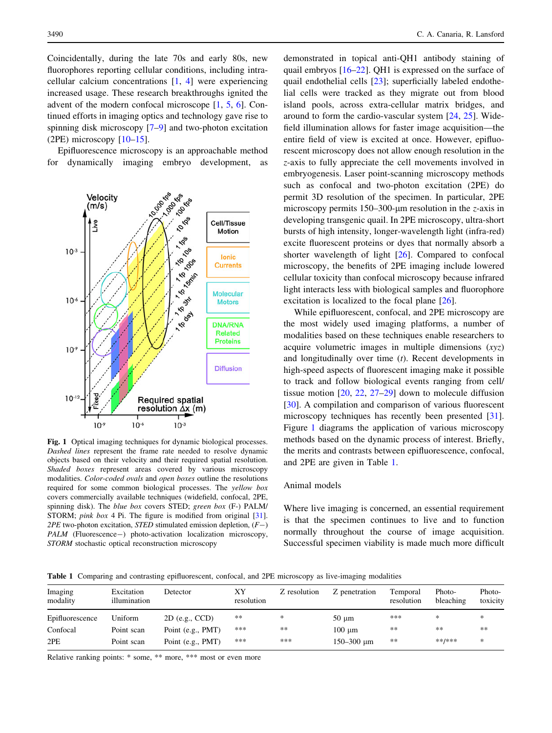Coincidentally, during the late 70s and early 80s, new fluorophores reporting cellular conditions, including intracellular calcium concentrations [\[1](#page-6-0), [4](#page-6-0)] were experiencing increased usage. These research breakthroughs ignited the advent of the modern confocal microscope [\[1](#page-6-0), [5](#page-6-0), [6\]](#page-6-0). Continued efforts in imaging optics and technology gave rise to spinning disk microscopy [\[7–9](#page-6-0)] and two-photon excitation  $(2PE)$  microscopy  $[10-15]$ .

Epifluorescence microscopy is an approachable method for dynamically imaging embryo development, as



Fig. 1 Optical imaging techniques for dynamic biological processes. Dashed lines represent the frame rate needed to resolve dynamic objects based on their velocity and their required spatial resolution. Shaded boxes represent areas covered by various microscopy modalities. Color-coded ovals and open boxes outline the resolutions required for some common biological processes. The yellow box covers commercially available techniques (widefield, confocal, 2PE, spinning disk). The blue box covers STED; green box (F-) PALM/ STORM; *pink box* 4 Pi. The figure is modified from original [[31](#page-7-0)].  $2PE$  two-photon excitation, *STED* stimulated emission depletion,  $(F-)$ PALM (Fluorescence-) photo-activation localization microscopy, STORM stochastic optical reconstruction microscopy

demonstrated in topical anti-QH1 antibody staining of quail embryos [\[16](#page-6-0)[–22](#page-7-0)]. QH1 is expressed on the surface of quail endothelial cells [[23\]](#page-7-0); superficially labeled endothelial cells were tracked as they migrate out from blood island pools, across extra-cellular matrix bridges, and around to form the cardio-vascular system [[24,](#page-7-0) [25](#page-7-0)]. Widefield illumination allows for faster image acquisition—the entire field of view is excited at once. However, epifluorescent microscopy does not allow enough resolution in the z-axis to fully appreciate the cell movements involved in embryogenesis. Laser point-scanning microscopy methods such as confocal and two-photon excitation (2PE) do permit 3D resolution of the specimen. In particular, 2PE microscopy permits  $150-300$ -µm resolution in the *z*-axis in developing transgenic quail. In 2PE microscopy, ultra-short bursts of high intensity, longer-wavelength light (infra-red) excite fluorescent proteins or dyes that normally absorb a shorter wavelength of light [[26\]](#page-7-0). Compared to confocal microscopy, the benefits of 2PE imaging include lowered cellular toxicity than confocal microscopy because infrared light interacts less with biological samples and fluorophore excitation is localized to the focal plane [\[26](#page-7-0)].

While epifluorescent, confocal, and 2PE microscopy are the most widely used imaging platforms, a number of modalities based on these techniques enable researchers to acquire volumetric images in multiple dimensions  $(xyz)$ and longitudinally over time  $(t)$ . Recent developments in high-speed aspects of fluorescent imaging make it possible to track and follow biological events ranging from cell/ tissue motion [[20,](#page-7-0) [22](#page-7-0), [27–29](#page-7-0)] down to molecule diffusion [\[30](#page-7-0)]. A compilation and comparison of various fluorescent microscopy techniques has recently been presented [\[31](#page-7-0)]. Figure 1 diagrams the application of various microscopy methods based on the dynamic process of interest. Briefly, the merits and contrasts between epifluorescence, confocal, and 2PE are given in Table 1.

#### Animal models

Where live imaging is concerned, an essential requirement is that the specimen continues to live and to function normally throughout the course of image acquisition. Successful specimen viability is made much more difficult

Table 1 Comparing and contrasting epifluorescent, confocal, and 2PE microscopy as live-imaging modalities

| Imaging<br>modality | Excitation<br>illumination | Detector          | ХY<br>resolution | Z resolution | Z penetration          | Temporal<br>resolution | Photo-<br>bleaching | Photo-<br>toxicity |
|---------------------|----------------------------|-------------------|------------------|--------------|------------------------|------------------------|---------------------|--------------------|
| Epifluorescence     | Uniform                    | $2D$ (e.g., CCD)  | $**$             | *            | $50 \mu m$             | ***                    | ∗                   | *                  |
| Confocal            | Point scan                 | Point (e.g., PMT) | ***              | $**$         | $100 \mu m$            | **                     | **                  | $***$              |
| 2PE                 | Point scan                 | Point (e.g., PMT) | ***              | ***          | $150 - 300 \text{ µm}$ | **                     | **/***              | *                  |

Relative ranking points: \* some, \*\* more, \*\*\* most or even more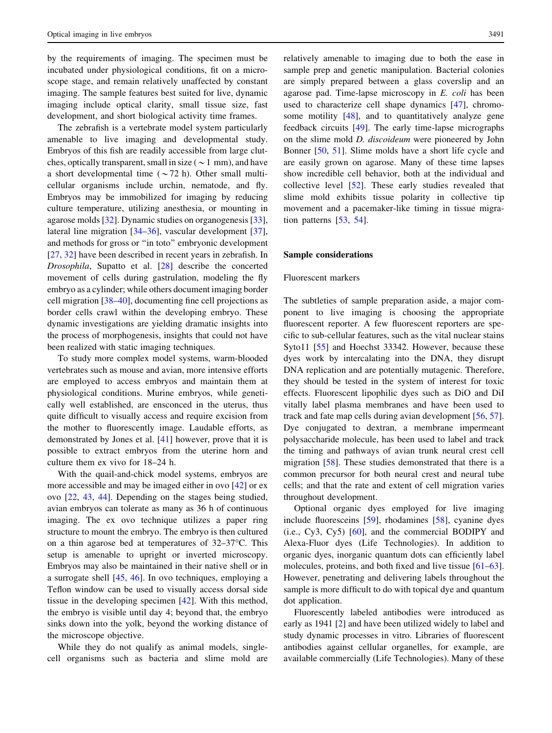by the requirements of imaging. The specimen must be incubated under physiological conditions, fit on a microscope stage, and remain relatively unaffected by constant imaging. The sample features best suited for live, dynamic imaging include optical clarity, small tissue size, fast development, and short biological activity time frames.

The zebrafish is a vertebrate model system particularly amenable to live imaging and developmental study. Embryos of this fish are readily accessible from large clutches, optically transparent, small in size ( $\sim$ 1 mm), and have a short developmental time  $({\sim}72 \text{ h})$ . Other small multicellular organisms include urchin, nematode, and fly. Embryos may be immobilized for imaging by reducing culture temperature, utilizing anesthesia, or mounting in agarose molds [\[32](#page-7-0)]. Dynamic studies on organogenesis [\[33](#page-7-0)], lateral line migration [[34–36\]](#page-7-0), vascular development [\[37](#page-7-0)], and methods for gross or ''in toto'' embryonic development [\[27](#page-7-0), [32](#page-7-0)] have been described in recent years in zebrafish. In Drosophila, Supatto et al. [\[28](#page-7-0)] describe the concerted movement of cells during gastrulation, modeling the fly embryo as a cylinder; while others document imaging border cell migration [\[38–40](#page-7-0)], documenting fine cell projections as border cells crawl within the developing embryo. These dynamic investigations are yielding dramatic insights into the process of morphogenesis, insights that could not have been realized with static imaging techniques.

To study more complex model systems, warm-blooded vertebrates such as mouse and avian, more intensive efforts are employed to access embryos and maintain them at physiological conditions. Murine embryos, while genetically well established, are ensconced in the uterus, thus quite difficult to visually access and require excision from the mother to fluorescently image. Laudable efforts, as demonstrated by Jones et al. [\[41](#page-7-0)] however, prove that it is possible to extract embryos from the uterine horn and culture them ex vivo for 18–24 h.

With the quail-and-chick model systems, embryos are more accessible and may be imaged either in ovo [\[42](#page-7-0)] or ex ovo [\[22](#page-7-0), [43](#page-7-0), [44\]](#page-7-0). Depending on the stages being studied, avian embryos can tolerate as many as 36 h of continuous imaging. The ex ovo technique utilizes a paper ring structure to mount the embryo. The embryo is then cultured on a thin agarose bed at temperatures of  $32-37$ °C. This setup is amenable to upright or inverted microscopy. Embryos may also be maintained in their native shell or in a surrogate shell [[45,](#page-7-0) [46\]](#page-7-0). In ovo techniques, employing a Teflon window can be used to visually access dorsal side tissue in the developing specimen [\[42](#page-7-0)]. With this method, the embryo is visible until day 4; beyond that, the embryo sinks down into the yolk, beyond the working distance of the microscope objective.

While they do not qualify as animal models, singlecell organisms such as bacteria and slime mold are relatively amenable to imaging due to both the ease in sample prep and genetic manipulation. Bacterial colonies are simply prepared between a glass coverslip and an agarose pad. Time-lapse microscopy in E. coli has been used to characterize cell shape dynamics [[47\]](#page-7-0), chromosome motility [[48\]](#page-7-0), and to quantitatively analyze gene feedback circuits [[49\]](#page-7-0). The early time-lapse micrographs on the slime mold D. discoideum were pioneered by John Bonner [[50,](#page-7-0) [51\]](#page-7-0). Slime molds have a short life cycle and are easily grown on agarose. Many of these time lapses show incredible cell behavior, both at the individual and collective level [\[52](#page-7-0)]. These early studies revealed that slime mold exhibits tissue polarity in collective tip movement and a pacemaker-like timing in tissue migration patterns [\[53](#page-7-0), [54](#page-7-0)].

#### Sample considerations

#### Fluorescent markers

The subtleties of sample preparation aside, a major component to live imaging is choosing the appropriate fluorescent reporter. A few fluorescent reporters are specific to sub-cellular features, such as the vital nuclear stains Syto11 [[55\]](#page-7-0) and Hoechst 33342. However, because these dyes work by intercalating into the DNA, they disrupt DNA replication and are potentially mutagenic. Therefore, they should be tested in the system of interest for toxic effects. Fluorescent lipophilic dyes such as DiO and DiI vitally label plasma membranes and have been used to track and fate map cells during avian development [[56,](#page-7-0) [57](#page-7-0)]. Dye conjugated to dextran, a membrane impermeant polysaccharide molecule, has been used to label and track the timing and pathways of avian trunk neural crest cell migration [[58\]](#page-7-0). These studies demonstrated that there is a common precursor for both neural crest and neural tube cells; and that the rate and extent of cell migration varies throughout development.

Optional organic dyes employed for live imaging include fluoresceins [[59\]](#page-7-0), rhodamines [\[58](#page-7-0)], cyanine dyes (i.e., Cy3, Cy5) [\[60](#page-8-0)], and the commercial BODIPY and Alexa-Fluor dyes (Life Technologies). In addition to organic dyes, inorganic quantum dots can efficiently label molecules, proteins, and both fixed and live tissue [\[61–63](#page-8-0)]. However, penetrating and delivering labels throughout the sample is more difficult to do with topical dye and quantum dot application.

Fluorescently labeled antibodies were introduced as early as 1941 [\[2](#page-6-0)] and have been utilized widely to label and study dynamic processes in vitro. Libraries of fluorescent antibodies against cellular organelles, for example, are available commercially (Life Technologies). Many of these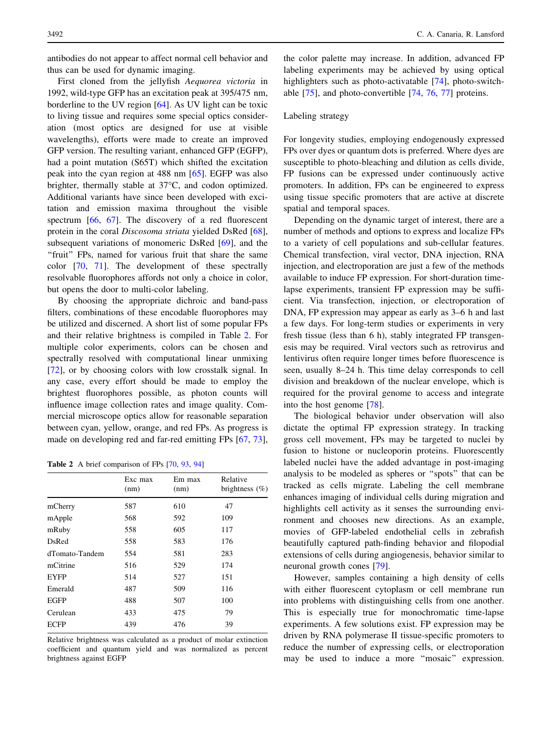antibodies do not appear to affect normal cell behavior and thus can be used for dynamic imaging.

First cloned from the jellyfish Aequorea victoria in 1992, wild-type GFP has an excitation peak at 395/475 nm, borderline to the UV region [\[64](#page-8-0)]. As UV light can be toxic to living tissue and requires some special optics consideration (most optics are designed for use at visible wavelengths), efforts were made to create an improved GFP version. The resulting variant, enhanced GFP (EGFP), had a point mutation (S65T) which shifted the excitation peak into the cyan region at 488 nm [\[65](#page-8-0)]. EGFP was also brighter, thermally stable at  $37^{\circ}$ C, and codon optimized. Additional variants have since been developed with excitation and emission maxima throughout the visible spectrum [[66,](#page-8-0) [67\]](#page-8-0). The discovery of a red fluorescent protein in the coral Discosoma striata yielded DsRed [\[68](#page-8-0)], subsequent variations of monomeric DsRed [[69\]](#page-8-0), and the "fruit" FPs, named for various fruit that share the same color [\[70](#page-8-0), [71\]](#page-8-0). The development of these spectrally resolvable fluorophores affords not only a choice in color, but opens the door to multi-color labeling.

By choosing the appropriate dichroic and band-pass filters, combinations of these encodable fluorophores may be utilized and discerned. A short list of some popular FPs and their relative brightness is compiled in Table 2. For multiple color experiments, colors can be chosen and spectrally resolved with computational linear unmixing [\[72](#page-8-0)], or by choosing colors with low crosstalk signal. In any case, every effort should be made to employ the brightest fluorophores possible, as photon counts will influence image collection rates and image quality. Commercial microscope optics allow for reasonable separation between cyan, yellow, orange, and red FPs. As progress is made on developing red and far-red emitting FPs [[67,](#page-8-0) [73](#page-8-0)],

Table 2 A brief comparison of FPs [\[70,](#page-8-0) [93](#page-8-0), [94\]](#page-8-0)

|                | Exc max<br>(nm) | Em max<br>(nm) | Relative<br>brightness $(\%)$ |
|----------------|-----------------|----------------|-------------------------------|
| mCherry        | 587             | 610            | 47                            |
| mApple         | 568             | 592            | 109                           |
| mRuby          | 558             | 605            | 117                           |
| DsRed          | 558             | 583            | 176                           |
| dTomato-Tandem | 554             | 581            | 283                           |
| mCitrine       | 516             | 529            | 174                           |
| <b>EYFP</b>    | 514             | 527            | 151                           |
| Emerald        | 487             | 509            | 116                           |
| EGFP           | 488             | 507            | 100                           |
| Cerulean       | 433             | 475            | 79                            |
| ECFP           | 439             | 476            | 39                            |

Relative brightness was calculated as a product of molar extinction coefficient and quantum yield and was normalized as percent brightness against EGFP

the color palette may increase. In addition, advanced FP labeling experiments may be achieved by using optical highlighters such as photo-activatable [\[74](#page-8-0)], photo-switchable [[75\]](#page-8-0), and photo-convertible [\[74](#page-8-0), [76](#page-8-0), [77\]](#page-8-0) proteins.

### Labeling strategy

For longevity studies, employing endogenously expressed FPs over dyes or quantum dots is preferred. Where dyes are susceptible to photo-bleaching and dilution as cells divide, FP fusions can be expressed under continuously active promoters. In addition, FPs can be engineered to express using tissue specific promoters that are active at discrete spatial and temporal spaces.

Depending on the dynamic target of interest, there are a number of methods and options to express and localize FPs to a variety of cell populations and sub-cellular features. Chemical transfection, viral vector, DNA injection, RNA injection, and electroporation are just a few of the methods available to induce FP expression. For short-duration timelapse experiments, transient FP expression may be sufficient. Via transfection, injection, or electroporation of DNA, FP expression may appear as early as 3–6 h and last a few days. For long-term studies or experiments in very fresh tissue (less than 6 h), stably integrated FP transgenesis may be required. Viral vectors such as retrovirus and lentivirus often require longer times before fluorescence is seen, usually 8–24 h. This time delay corresponds to cell division and breakdown of the nuclear envelope, which is required for the proviral genome to access and integrate into the host genome [[78\]](#page-8-0).

The biological behavior under observation will also dictate the optimal FP expression strategy. In tracking gross cell movement, FPs may be targeted to nuclei by fusion to histone or nucleoporin proteins. Fluorescently labeled nuclei have the added advantage in post-imaging analysis to be modeled as spheres or ''spots'' that can be tracked as cells migrate. Labeling the cell membrane enhances imaging of individual cells during migration and highlights cell activity as it senses the surrounding environment and chooses new directions. As an example, movies of GFP-labeled endothelial cells in zebrafish beautifully captured path-finding behavior and filopodial extensions of cells during angiogenesis, behavior similar to neuronal growth cones [[79\]](#page-8-0).

However, samples containing a high density of cells with either fluorescent cytoplasm or cell membrane run into problems with distinguishing cells from one another. This is especially true for monochromatic time-lapse experiments. A few solutions exist. FP expression may be driven by RNA polymerase II tissue-specific promoters to reduce the number of expressing cells, or electroporation may be used to induce a more ''mosaic'' expression.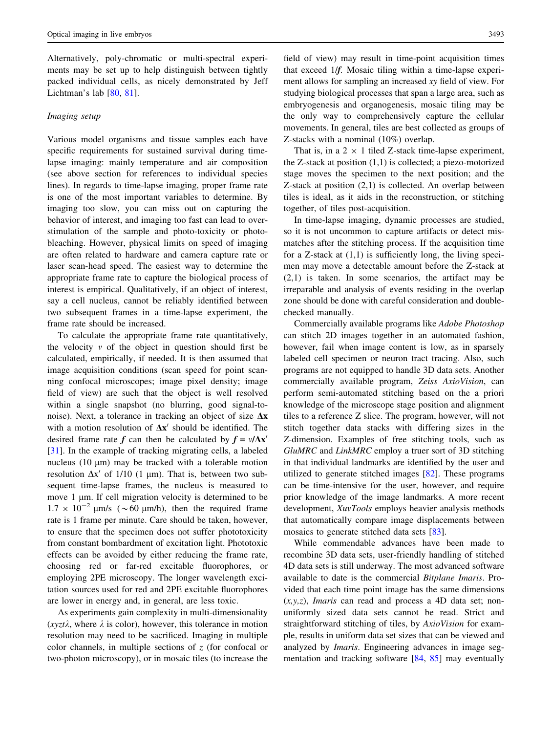Alternatively, poly-chromatic or multi-spectral experiments may be set up to help distinguish between tightly packed individual cells, as nicely demonstrated by Jeff Lichtman's lab [[80,](#page-8-0) [81\]](#page-8-0).

#### Imaging setup

Various model organisms and tissue samples each have specific requirements for sustained survival during timelapse imaging: mainly temperature and air composition (see above section for references to individual species lines). In regards to time-lapse imaging, proper frame rate is one of the most important variables to determine. By imaging too slow, you can miss out on capturing the behavior of interest, and imaging too fast can lead to overstimulation of the sample and photo-toxicity or photobleaching. However, physical limits on speed of imaging are often related to hardware and camera capture rate or laser scan-head speed. The easiest way to determine the appropriate frame rate to capture the biological process of interest is empirical. Qualitatively, if an object of interest, say a cell nucleus, cannot be reliably identified between two subsequent frames in a time-lapse experiment, the frame rate should be increased.

To calculate the appropriate frame rate quantitatively, the velocity  $v$  of the object in question should first be calculated, empirically, if needed. It is then assumed that image acquisition conditions (scan speed for point scanning confocal microscopes; image pixel density; image field of view) are such that the object is well resolved within a single snapshot (no blurring, good signal-tonoise). Next, a tolerance in tracking an object of size  $\Delta x$ with a motion resolution of  $\Delta x'$  should be identified. The desired frame rate f can then be calculated by  $f = v/\Delta x'$ [\[31](#page-7-0)]. In the example of tracking migrating cells, a labeled nucleus (10  $\mu$ m) may be tracked with a tolerable motion resolution  $\Delta x'$  of 1/10 (1 µm). That is, between two subsequent time-lapse frames, the nucleus is measured to move 1 µm. If cell migration velocity is determined to be  $1.7 \times 10^{-2}$  µm/s ( $\sim 60$  µm/h), then the required frame rate is 1 frame per minute. Care should be taken, however, to ensure that the specimen does not suffer phototoxicity from constant bombardment of excitation light. Phototoxic effects can be avoided by either reducing the frame rate, choosing red or far-red excitable fluorophores, or employing 2PE microscopy. The longer wavelength excitation sources used for red and 2PE excitable fluorophores are lower in energy and, in general, are less toxic.

As experiments gain complexity in multi-dimensionality (xyzt $\lambda$ , where  $\lambda$  is color), however, this tolerance in motion resolution may need to be sacrificed. Imaging in multiple color channels, in multiple sections of  $z$  (for confocal or two-photon microscopy), or in mosaic tiles (to increase the

field of view) may result in time-point acquisition times that exceed 1/f. Mosaic tiling within a time-lapse experiment allows for sampling an increased xy field of view. For studying biological processes that span a large area, such as embryogenesis and organogenesis, mosaic tiling may be the only way to comprehensively capture the cellular movements. In general, tiles are best collected as groups of Z-stacks with a nominal (10%) overlap.

That is, in a  $2 \times 1$  tiled Z-stack time-lapse experiment, the Z-stack at position (1,1) is collected; a piezo-motorized stage moves the specimen to the next position; and the Z-stack at position (2,1) is collected. An overlap between tiles is ideal, as it aids in the reconstruction, or stitching together, of tiles post-acquisition.

In time-lapse imaging, dynamic processes are studied, so it is not uncommon to capture artifacts or detect mismatches after the stitching process. If the acquisition time for a Z-stack at  $(1,1)$  is sufficiently long, the living specimen may move a detectable amount before the Z-stack at (2,1) is taken. In some scenarios, the artifact may be irreparable and analysis of events residing in the overlap zone should be done with careful consideration and doublechecked manually.

Commercially available programs like Adobe Photoshop can stitch 2D images together in an automated fashion, however, fail when image content is low, as in sparsely labeled cell specimen or neuron tract tracing. Also, such programs are not equipped to handle 3D data sets. Another commercially available program, Zeiss AxioVision, can perform semi-automated stitching based on the a priori knowledge of the microscope stage position and alignment tiles to a reference Z slice. The program, however, will not stitch together data stacks with differing sizes in the Z-dimension. Examples of free stitching tools, such as GluMRC and LinkMRC employ a truer sort of 3D stitching in that individual landmarks are identified by the user and utilized to generate stitched images [\[82](#page-8-0)]. These programs can be time-intensive for the user, however, and require prior knowledge of the image landmarks. A more recent development, *XuvTools* employs heavier analysis methods that automatically compare image displacements between mosaics to generate stitched data sets [\[83](#page-8-0)].

While commendable advances have been made to recombine 3D data sets, user-friendly handling of stitched 4D data sets is still underway. The most advanced software available to date is the commercial Bitplane Imaris. Provided that each time point image has the same dimensions  $(x, y, z)$ , *Imaris* can read and process a 4D data set; nonuniformly sized data sets cannot be read. Strict and straightforward stitching of tiles, by AxioVision for example, results in uniform data set sizes that can be viewed and analyzed by Imaris. Engineering advances in image segmentation and tracking software [\[84](#page-8-0), [85\]](#page-8-0) may eventually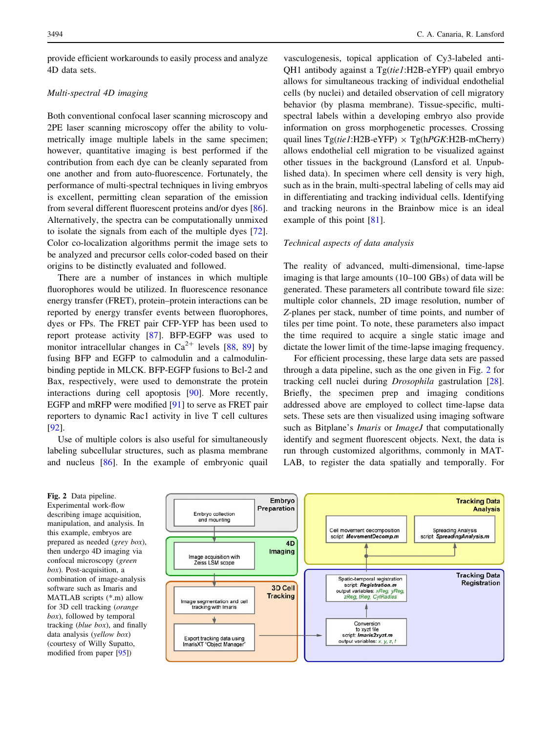provide efficient workarounds to easily process and analyze 4D data sets.

# Multi-spectral 4D imaging

Both conventional confocal laser scanning microscopy and 2PE laser scanning microscopy offer the ability to volumetrically image multiple labels in the same specimen; however, quantitative imaging is best performed if the contribution from each dye can be cleanly separated from one another and from auto-fluorescence. Fortunately, the performance of multi-spectral techniques in living embryos is excellent, permitting clean separation of the emission from several different fluorescent proteins and/or dyes [\[86](#page-8-0)]. Alternatively, the spectra can be computationally unmixed to isolate the signals from each of the multiple dyes [\[72](#page-8-0)]. Color co-localization algorithms permit the image sets to be analyzed and precursor cells color-coded based on their origins to be distinctly evaluated and followed.

There are a number of instances in which multiple fluorophores would be utilized. In fluorescence resonance energy transfer (FRET), protein–protein interactions can be reported by energy transfer events between fluorophores, dyes or FPs. The FRET pair CFP-YFP has been used to report protease activity [[87\]](#page-8-0). BFP-EGFP was used to monitor intracellular changes in  $Ca^{2+}$  levels [[88,](#page-8-0) [89\]](#page-8-0) by fusing BFP and EGFP to calmodulin and a calmodulinbinding peptide in MLCK. BFP-EGFP fusions to Bcl-2 and Bax, respectively, were used to demonstrate the protein interactions during cell apoptosis [\[90](#page-8-0)]. More recently, EGFP and mRFP were modified [\[91](#page-8-0)] to serve as FRET pair reporters to dynamic Rac1 activity in live T cell cultures [\[92](#page-8-0)].

Use of multiple colors is also useful for simultaneously labeling subcellular structures, such as plasma membrane and nucleus [\[86](#page-8-0)]. In the example of embryonic quail

vasculogenesis, topical application of Cy3-labeled anti-QH1 antibody against a Tg(tie1:H2B-eYFP) quail embryo allows for simultaneous tracking of individual endothelial cells (by nuclei) and detailed observation of cell migratory behavior (by plasma membrane). Tissue-specific, multispectral labels within a developing embryo also provide information on gross morphogenetic processes. Crossing quail lines  $Tg(tie1:H2B-eYFP) \times Tg(hPGK:H2B-mCherry)$ allows endothelial cell migration to be visualized against other tissues in the background (Lansford et al. Unpublished data). In specimen where cell density is very high, such as in the brain, multi-spectral labeling of cells may aid in differentiating and tracking individual cells. Identifying and tracking neurons in the Brainbow mice is an ideal example of this point [\[81](#page-8-0)].

#### Technical aspects of data analysis

The reality of advanced, multi-dimensional, time-lapse imaging is that large amounts (10–100 GBs) of data will be generated. These parameters all contribute toward file size: multiple color channels, 2D image resolution, number of Z-planes per stack, number of time points, and number of tiles per time point. To note, these parameters also impact the time required to acquire a single static image and dictate the lower limit of the time-lapse imaging frequency.

For efficient processing, these large data sets are passed through a data pipeline, such as the one given in Fig. 2 for tracking cell nuclei during Drosophila gastrulation [\[28](#page-7-0)]. Briefly, the specimen prep and imaging conditions addressed above are employed to collect time-lapse data sets. These sets are then visualized using imaging software such as Bitplane's *Imaris* or *ImageJ* that computationally identify and segment fluorescent objects. Next, the data is run through customized algorithms, commonly in MAT-LAB, to register the data spatially and temporally. For

Fig. 2 Data pipeline. Experimental work-flow describing image acquisition, manipulation, and analysis. In this example, embryos are prepared as needed (grey box), then undergo 4D imaging via confocal microscopy (green box). Post-acquisition, a combination of image-analysis software such as Imaris and MATLAB scripts (\*.m) allow for 3D cell tracking (orange box), followed by temporal tracking (blue box), and finally data analysis (yellow box) (courtesy of Willy Supatto, modified from paper [[95](#page-8-0)])

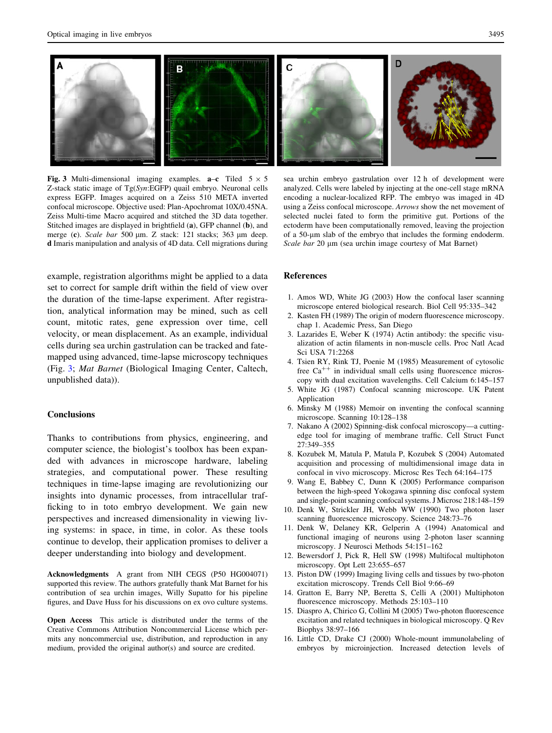<span id="page-6-0"></span>

Fig. 3 Multi-dimensional imaging examples.  $a-c$  Tiled  $5 \times 5$ Z-stack static image of Tg(Syn:EGFP) quail embryo. Neuronal cells express EGFP. Images acquired on a Zeiss 510 META inverted confocal microscope. Objective used: Plan-Apochromat 10X/0.45NA. Zeiss Multi-time Macro acquired and stitched the 3D data together. Stitched images are displayed in brightfield (a), GFP channel (b), and merge (c). Scale bar 500 µm. Z stack: 121 stacks; 363 µm deep. d Imaris manipulation and analysis of 4D data. Cell migrations during

example, registration algorithms might be applied to a data set to correct for sample drift within the field of view over the duration of the time-lapse experiment. After registration, analytical information may be mined, such as cell count, mitotic rates, gene expression over time, cell velocity, or mean displacement. As an example, individual cells during sea urchin gastrulation can be tracked and fatemapped using advanced, time-lapse microscopy techniques (Fig. 3; Mat Barnet (Biological Imaging Center, Caltech, unpublished data)).

#### **Conclusions**

Thanks to contributions from physics, engineering, and computer science, the biologist's toolbox has been expanded with advances in microscope hardware, labeling strategies, and computational power. These resulting techniques in time-lapse imaging are revolutionizing our insights into dynamic processes, from intracellular trafficking to in toto embryo development. We gain new perspectives and increased dimensionality in viewing living systems: in space, in time, in color. As these tools continue to develop, their application promises to deliver a deeper understanding into biology and development.

Acknowledgments A grant from NIH CEGS (P50 HG004071) supported this review. The authors gratefully thank Mat Barnet for his contribution of sea urchin images, Willy Supatto for his pipeline figures, and Dave Huss for his discussions on ex ovo culture systems.

Open Access This article is distributed under the terms of the Creative Commons Attribution Noncommercial License which permits any noncommercial use, distribution, and reproduction in any medium, provided the original author(s) and source are credited.

sea urchin embryo gastrulation over 12 h of development were analyzed. Cells were labeled by injecting at the one-cell stage mRNA encoding a nuclear-localized RFP. The embryo was imaged in 4D using a Zeiss confocal microscope. Arrows show the net movement of selected nuclei fated to form the primitive gut. Portions of the ectoderm have been computationally removed, leaving the projection of a 50-lm slab of the embryo that includes the forming endoderm. Scale bar 20 µm (sea urchin image courtesy of Mat Barnet)

#### References

- 1. Amos WD, White JG (2003) How the confocal laser scanning microscope entered biological research. Biol Cell 95:335–342
- 2. Kasten FH (1989) The origin of modern fluorescence microscopy. chap 1. Academic Press, San Diego
- 3. Lazarides E, Weber K (1974) Actin antibody: the specific visualization of actin filaments in non-muscle cells. Proc Natl Acad Sci USA 71:2268
- 4. Tsien RY, Rink TJ, Poenie M (1985) Measurement of cytosolic free  $Ca^{++}$  in individual small cells using fluorescence microscopy with dual excitation wavelengths. Cell Calcium 6:145–157
- 5. White JG (1987) Confocal scanning microscope. UK Patent Application
- 6. Minsky M (1988) Memoir on inventing the confocal scanning microscope. Scanning 10:128–138
- 7. Nakano A (2002) Spinning-disk confocal microscopy—a cuttingedge tool for imaging of membrane traffic. Cell Struct Funct 27:349–355
- 8. Kozubek M, Matula P, Matula P, Kozubek S (2004) Automated acquisition and processing of multidimensional image data in confocal in vivo microscopy. Microsc Res Tech 64:164–175
- 9. Wang E, Babbey C, Dunn K (2005) Performance comparison between the high-speed Yokogawa spinning disc confocal system and single-point scanning confocal systems. J Microsc 218:148–159
- 10. Denk W, Strickler JH, Webb WW (1990) Two photon laser scanning fluorescence microscopy. Science 248:73–76
- 11. Denk W, Delaney KR, Gelperin A (1994) Anatomical and functional imaging of neurons using 2-photon laser scanning microscopy. J Neurosci Methods 54:151–162
- 12. Bewersdorf J, Pick R, Hell SW (1998) Multifocal multiphoton microscopy. Opt Lett 23:655–657
- 13. Piston DW (1999) Imaging living cells and tissues by two-photon excitation microscopy. Trends Cell Biol 9:66–69
- 14. Gratton E, Barry NP, Beretta S, Celli A (2001) Multiphoton fluorescence microscopy. Methods 25:103–110
- 15. Diaspro A, Chirico G, Collini M (2005) Two-photon fluorescence excitation and related techniques in biological microscopy. Q Rev Biophys 38:97–166
- 16. Little CD, Drake CJ (2000) Whole-mount immunolabeling of embryos by microinjection. Increased detection levels of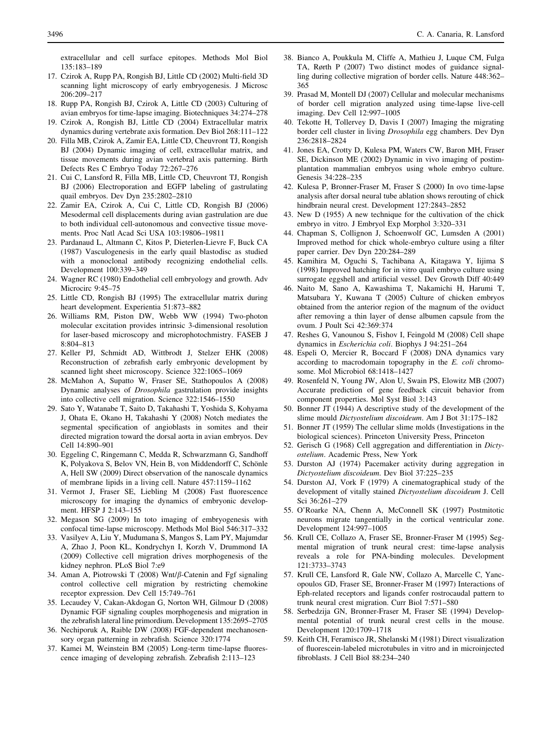<span id="page-7-0"></span>extracellular and cell surface epitopes. Methods Mol Biol 135:183–189

- 17. Czirok A, Rupp PA, Rongish BJ, Little CD (2002) Multi-field 3D scanning light microscopy of early embryogenesis. J Microsc 206:209–217
- 18. Rupp PA, Rongish BJ, Czirok A, Little CD (2003) Culturing of avian embryos for time-lapse imaging. Biotechniques 34:274–278
- 19. Czirok A, Rongish BJ, Little CD (2004) Extracellular matrix dynamics during vertebrate axis formation. Dev Biol 268:111–122
- 20. Filla MB, Czirok A, Zamir EA, Little CD, Cheuvront TJ, Rongish BJ (2004) Dynamic imaging of cell, extracellular matrix, and tissue movements during avian vertebral axis patterning. Birth Defects Res C Embryo Today 72:267–276
- 21. Cui C, Lansford R, Filla MB, Little CD, Cheuvront TJ, Rongish BJ (2006) Electroporation and EGFP labeling of gastrulating quail embryos. Dev Dyn 235:2802–2810
- 22. Zamir EA, Czirok A, Cui C, Little CD, Rongish BJ (2006) Mesodermal cell displacements during avian gastrulation are due to both individual cell-autonomous and convective tissue movements. Proc Natl Acad Sci USA 103:19806–19811
- 23. Pardanaud L, Altmann C, Kitos P, Dieterlen-Lievre F, Buck CA (1987) Vasculogenesis in the early quail blastodisc as studied with a monoclonal antibody recognizing endothelial cells. Development 100:339–349
- 24. Wagner RC (1980) Endothelial cell embryology and growth. Adv Microcirc 9:45–75
- 25. Little CD, Rongish BJ (1995) The extracellular matrix during heart development. Experientia 51:873–882
- 26. Williams RM, Piston DW, Webb WW (1994) Two-photon molecular excitation provides intrinsic 3-dimensional resolution for laser-based microscopy and microphotochmistry. FASEB J 8:804–813
- 27. Keller PJ, Schmidt AD, Wittbrodt J, Stelzer EHK (2008) Reconstruction of zebrafish early embryonic development by scanned light sheet microscopy. Science 322:1065–1069
- 28. McMahon A, Supatto W, Fraser SE, Stathopoulos A (2008) Dynamic analyses of Drosophila gastrulation provide insights into collective cell migration. Science 322:1546–1550
- 29. Sato Y, Watanabe T, Saito D, Takahashi T, Yoshida S, Kohyama J, Ohata E, Okano H, Takahashi Y (2008) Notch mediates the segmental specification of angioblasts in somites and their directed migration toward the dorsal aorta in avian embryos. Dev Cell 14:890–901
- 30. Eggeling C, Ringemann C, Medda R, Schwarzmann G, Sandhoff K, Polyakova S, Belov VN, Hein B, von Middendorff C, Schönle A, Hell SW (2009) Direct observation of the nanoscale dynamics of membrane lipids in a living cell. Nature 457:1159–1162
- 31. Vermot J, Fraser SE, Liebling M (2008) Fast fluorescence microscopy for imaging the dynamics of embryonic development. HFSP J 2:143–155
- 32. Megason SG (2009) In toto imaging of embryogenesis with confocal time-lapse microscopy. Methods Mol Biol 546:317–332
- 33. Vasilyev A, Liu Y, Mudumana S, Mangos S, Lam PY, Majumdar A, Zhao J, Poon KL, Kondrychyn I, Korzh V, Drummond IA (2009) Collective cell migration drives morphogenesis of the kidney nephron. PLoS Biol 7:e9
- 34. Aman A, Piotrowski T (2008) Wnt/ $\beta$ -Catenin and Fgf signaling control collective cell migration by restricting chemokine receptor expression. Dev Cell 15:749–761
- 35. Lecaudey V, Cakan-Akdogan G, Norton WH, Gilmour D (2008) Dynamic FGF signaling couples morphogenesis and migration in the zebrafish lateral line primordium. Development 135:2695–2705
- 36. Nechiporuk A, Raible DW (2008) FGF-dependent mechanosensory organ patterning in zebrafish. Science 320:1774
- 37. Kamei M, Weinstein BM (2005) Long-term time-lapse fluorescence imaging of developing zebrafish. Zebrafish 2:113–123
- 38. Bianco A, Poukkula M, Cliffe A, Mathieu J, Luque CM, Fulga TA, Rørth P (2007) Two distinct modes of guidance signalling during collective migration of border cells. Nature 448:362– 365
- 39. Prasad M, Montell DJ (2007) Cellular and molecular mechanisms of border cell migration analyzed using time-lapse live-cell imaging. Dev Cell 12:997–1005
- 40. Tekotte H, Tollervey D, Davis I (2007) Imaging the migrating border cell cluster in living Drosophila egg chambers. Dev Dyn 236:2818–2824
- 41. Jones EA, Crotty D, Kulesa PM, Waters CW, Baron MH, Fraser SE, Dickinson ME (2002) Dynamic in vivo imaging of postimplantation mammalian embryos using whole embryo culture. Genesis 34:228–235
- 42. Kulesa P, Bronner-Fraser M, Fraser S (2000) In ovo time-lapse analysis after dorsal neural tube ablation shows rerouting of chick hindbrain neural crest. Development 127:2843–2852
- 43. New D (1955) A new technique for the cultivation of the chick embryo in vitro. J Embryol Exp Morphol 3:320–331
- 44. Chapman S, Collignon J, Schoenwolf GC, Lumsden A (2001) Improved method for chick whole-embryo culture using a filter paper carrier. Dev Dyn 220:284–289
- 45. Kamihira M, Oguchi S, Tachibana A, Kitagawa Y, Iijima S (1998) Improved hatching for in vitro quail embryo culture using surrogate eggshell and artificial vessel. Dev Growth Diff 40:449
- 46. Naito M, Sano A, Kawashima T, Nakamichi H, Harumi T, Matsubara Y, Kuwana T (2005) Culture of chicken embryos obtained from the anterior region of the magnum of the oviduct after removing a thin layer of dense albumen capsule from the ovum. J Poult Sci 42:369:374
- 47. Reshes G, Vanounou S, Fishov I, Feingold M (2008) Cell shape dynamics in Escherichia coli. Biophys J 94:251–264
- 48. Espeli O, Mercier R, Boccard F (2008) DNA dynamics vary according to macrodomain topography in the E. coli chromosome. Mol Microbiol 68:1418–1427
- 49. Rosenfeld N, Young JW, Alon U, Swain PS, Elowitz MB (2007) Accurate prediction of gene feedback circuit behavior from component properties. Mol Syst Biol 3:143
- 50. Bonner JT (1944) A descriptive study of the development of the slime mould Dictyostelium discoideum. Am J Bot 31:175–182
- 51. Bonner JT (1959) The cellular slime molds (Investigations in the biological sciences). Princeton University Press, Princeton
- 52. Gerisch G (1968) Cell aggregation and differentiation in Dictyostelium. Academic Press, New York
- 53. Durston AJ (1974) Pacemaker activity during aggregation in Dictyostelium discoideum. Dev Biol 37:225–235
- 54. Durston AJ, Vork F (1979) A cinematographical study of the development of vitally stained Dictyostelium discoideum J. Cell Sci 36:261–279
- 55. O'Roarke NA, Chenn A, McConnell SK (1997) Postmitotic neurons migrate tangentially in the cortical ventricular zone. Development 124:997–1005
- 56. Krull CE, Collazo A, Fraser SE, Bronner-Fraser M (1995) Segmental migration of trunk neural crest: time-lapse analysis reveals a role for PNA-binding molecules. Development 121:3733–3743
- 57. Krull CE, Lansford R, Gale NW, Collazo A, Marcelle C, Yancopoulos GD, Fraser SE, Bronner-Fraser M (1997) Interactions of Eph-related receptors and ligands confer rostrocaudal pattern to trunk neural crest migration. Curr Biol 7:571–580
- 58. Serbedzija GN, Bronner-Fraser M, Fraser SE (1994) Developmental potential of trunk neural crest cells in the mouse. Development 120:1709–1718
- 59. Keith CH, Feramisco JR, Shelanski M (1981) Direct visualization of fluorescein-labeled microtubules in vitro and in microinjected fibroblasts. J Cell Biol 88:234–240